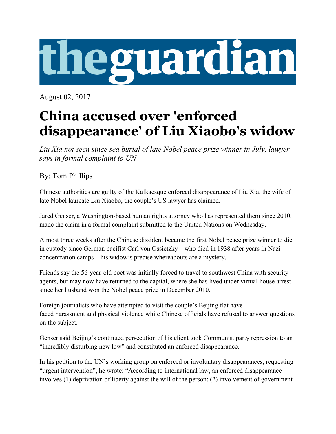

August 02, 2017

## **China accused over 'enforced disappearance' of Liu Xiaobo's widow**

*Liu Xia not seen since sea burial of late Nobel peace prize winner in July, lawyer says in formal complaint to UN*

By: Tom Phillips

Chinese authorities are guilty of the Kafkaesque enforced disappearance of Liu Xia, the wife of late Nobel laureate Liu Xiaobo, the couple's US lawyer has claimed.

Jared Genser, a Washington-based human rights attorney who has represented them since 2010, made the claim in a formal complaint submitted to the United Nations on Wednesday.

Almost three weeks after the Chinese dissident became the first Nobel peace prize winner to die in custody since German pacifist Carl von Ossietzky – who died in 1938 after years in Nazi concentration camps – his widow's precise whereabouts are a mystery.

Friends say the 56-year-old poet was initially forced to travel to southwest China with security agents, but may now have returned to the capital, where she has lived under virtual house arrest since her husband won the Nobel peace prize in December 2010.

Foreign journalists who have attempted to visit the couple's Beijing flat have faced harassment and physical violence while Chinese officials have refused to answer questions on the subject.

Genser said Beijing's continued persecution of his client took Communist party repression to an "incredibly disturbing new low" and constituted an enforced disappearance.

In his petition to the UN's working group on enforced or involuntary disappearances, requesting "urgent intervention", he wrote: "According to international law, an enforced disappearance involves (1) deprivation of liberty against the will of the person; (2) involvement of government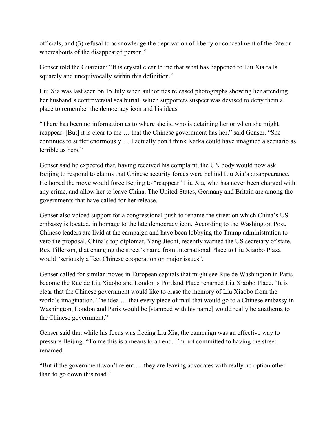officials; and (3) refusal to acknowledge the deprivation of liberty or concealment of the fate or whereabouts of the disappeared person."

Genser told the Guardian: "It is crystal clear to me that what has happened to Liu Xia falls squarely and unequivocally within this definition."

Liu Xia was last seen on 15 July when authorities released photographs showing her attending her husband's controversial sea burial, which supporters suspect was devised to deny them a place to remember the democracy icon and his ideas.

"There has been no information as to where she is, who is detaining her or when she might reappear. [But] it is clear to me … that the Chinese government has her," said Genser. "She continues to suffer enormously … I actually don't think Kafka could have imagined a scenario as terrible as hers."

Genser said he expected that, having received his complaint, the UN body would now ask Beijing to respond to claims that Chinese security forces were behind Liu Xia's disappearance. He hoped the move would force Beijing to "reappear" Liu Xia, who has never been charged with any crime, and allow her to leave China. The United States, Germany and Britain are among the governments that have called for her release.

Genser also voiced support for a congressional push to rename the street on which China's US embassy is located, in homage to the late democracy icon. According to the Washington Post, Chinese leaders are livid at the campaign and have been lobbying the Trump administration to veto the proposal. China's top diplomat, Yang Jiechi, recently warned the US secretary of state, Rex Tillerson, that changing the street's name from International Place to Liu Xiaobo Plaza would "seriously affect Chinese cooperation on major issues".

Genser called for similar moves in European capitals that might see Rue de Washington in Paris become the Rue de Liu Xiaobo and London's Portland Place renamed Liu Xiaobo Place. "It is clear that the Chinese government would like to erase the memory of Liu Xiaobo from the world's imagination. The idea … that every piece of mail that would go to a Chinese embassy in Washington, London and Paris would be [stamped with his name] would really be anathema to the Chinese government."

Genser said that while his focus was freeing Liu Xia, the campaign was an effective way to pressure Beijing. "To me this is a means to an end. I'm not committed to having the street renamed.

"But if the government won't relent … they are leaving advocates with really no option other than to go down this road."